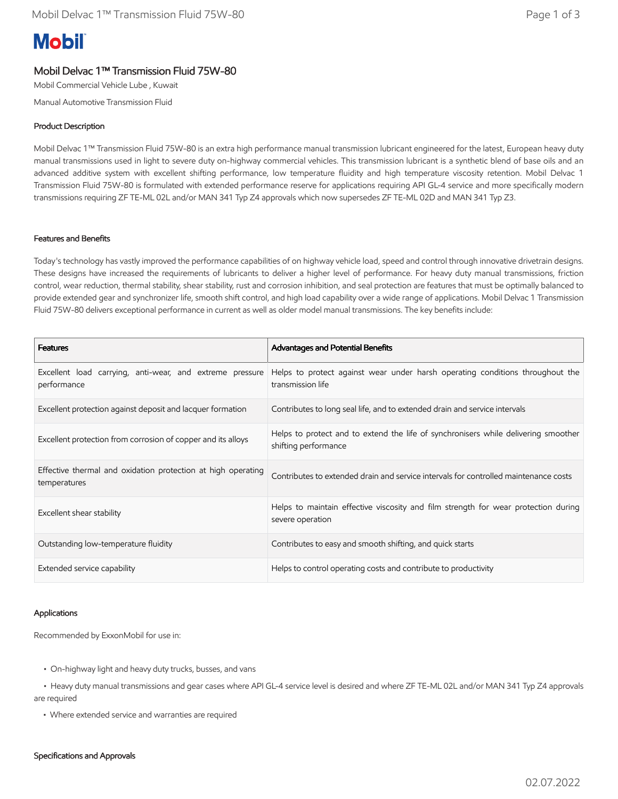# **Mobil**

## Mobil Delvac 1™ Transmission Fluid 75W-80

Mobil Commercial Vehicle Lube , Kuwait

Manual Automotive Transmission Fluid

#### Product Description

Mobil Delvac 1™ Transmission Fluid 75W-80 is an extra high performance manual transmission lubricant engineered for the latest, European heavy duty manual transmissions used in light to severe duty on-highway commercial vehicles. This transmission lubricant is a synthetic blend of base oils and an advanced additive system with excellent shifting performance, low temperature fluidity and high temperature viscosity retention. Mobil Delvac 1 Transmission Fluid 75W-80 is formulated with extended performance reserve for applications requiring API GL-4 service and more specifically modern transmissions requiring ZF TE-ML 02L and/or MAN 341 Typ Z4 approvals which now supersedes ZF TE-ML 02D and MAN 341 Typ Z3.

#### Features and Benefits

Today's technology has vastly improved the performance capabilities of on highway vehicle load, speed and control through innovative drivetrain designs. These designs have increased the requirements of lubricants to deliver a higher level of performance. For heavy duty manual transmissions, friction control, wear reduction, thermal stability, shear stability, rust and corrosion inhibition, and seal protection are features that must be optimally balanced to provide extended gear and synchronizer life, smooth shift control, and high load capability over a wide range of applications. Mobil Delvac 1 Transmission Fluid 75W-80 delivers exceptional performance in current as well as older model manual transmissions. The key benefits include:

| <b>Features</b>                                                              | Advantages and Potential Benefits                                                                          |
|------------------------------------------------------------------------------|------------------------------------------------------------------------------------------------------------|
| Excellent load carrying, anti-wear, and extreme pressure<br>performance      | Helps to protect against wear under harsh operating conditions throughout the<br>transmission life         |
| Excellent protection against deposit and lacquer formation                   | Contributes to long seal life, and to extended drain and service intervals                                 |
| Excellent protection from corrosion of copper and its alloys                 | Helps to protect and to extend the life of synchronisers while delivering smoother<br>shifting performance |
| Effective thermal and oxidation protection at high operating<br>temperatures | Contributes to extended drain and service intervals for controlled maintenance costs                       |
| Excellent shear stability                                                    | Helps to maintain effective viscosity and film strength for wear protection during<br>severe operation     |
| Outstanding low-temperature fluidity                                         | Contributes to easy and smooth shifting, and quick starts                                                  |
| Extended service capability                                                  | Helps to control operating costs and contribute to productivity                                            |

#### Applications

Recommended by ExxonMobil for use in:

- On-highway light and heavy duty trucks, busses, and vans
- • Heavy duty manual transmissions and gear cases where API GL-4 service level is desired and where ZF TE-ML 02L and/or MAN 341 Typ Z4 approvals are required
	- Where extended service and warranties are required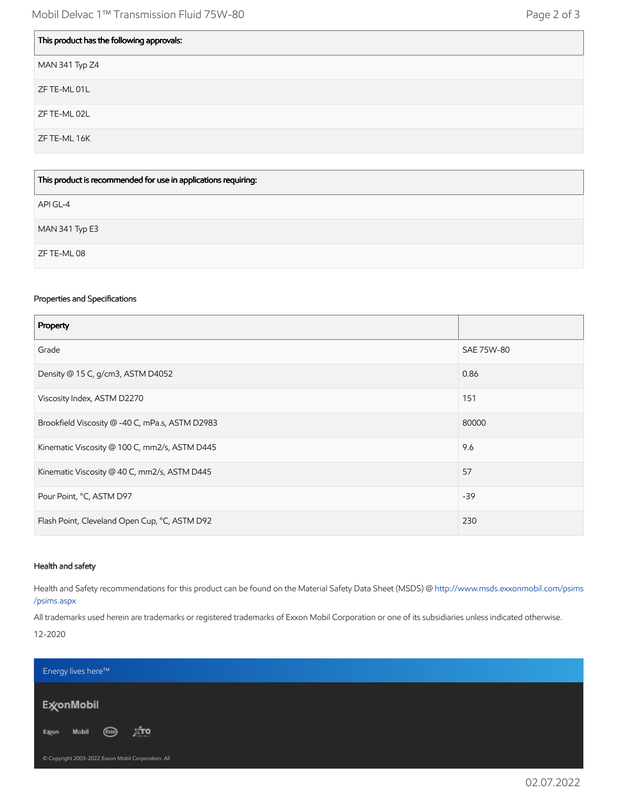| This product has the following approvals: |
|-------------------------------------------|
| MAN 341 Typ Z4                            |
| ZF TE-ML 01L                              |
| ZF TE-ML 02L                              |
| ZF TE-ML 16K                              |
|                                           |

| This product is recommended for use in applications requiring: |
|----------------------------------------------------------------|
| API GL-4                                                       |
| MAN 341 Typ E3                                                 |
| ZF TE-ML 08                                                    |

### Properties and Specifications

Г

| Property                                        |            |
|-------------------------------------------------|------------|
| Grade                                           | SAE 75W-80 |
| Density @ 15 C, g/cm3, ASTM D4052               | 0.86       |
| Viscosity Index, ASTM D2270                     | 151        |
| Brookfield Viscosity @ -40 C, mPa.s, ASTM D2983 | 80000      |
| Kinematic Viscosity @ 100 C, mm2/s, ASTM D445   | 9.6        |
| Kinematic Viscosity @ 40 C, mm2/s, ASTM D445    | 57         |
| Pour Point, °C, ASTM D97                        | $-39$      |
| Flash Point, Cleveland Open Cup, °C, ASTM D92   | 230        |

#### Health and safety

Health and Safety recommendations for this product can be found on the Material Safety Data Sheet (MSDS) @ [http://www.msds.exxonmobil.com/psims](http://www.msds.exxonmobil.com/psims/psims.aspx) /psims.aspx

All trademarks used herein are trademarks or registered trademarks of Exxon Mobil Corporation or one of its subsidiaries unless indicated otherwise. 12-2020